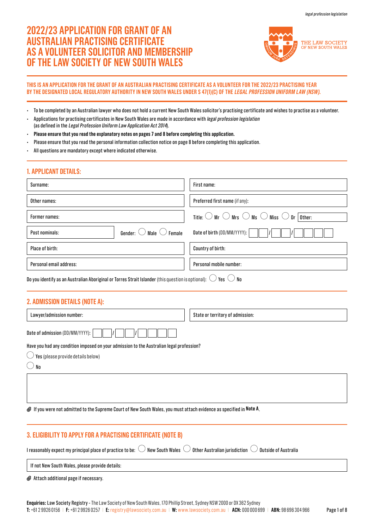# **2022/23 APPLICATION FOR GRANT OF AN AUSTRALIAN PRACTISING CERTIFICATE AS A VOLUNTEER SOLICITOR AND MEMBERSHIP OF THE LAW SOCIETY OF NEW SOUTH WALES**



### **THIS IS AN APPLICATION FOR THE GRANT OF AN AUSTRALIAN PRACTISING CERTIFICATE AS A VOLUNTEER FOR THE 2022/23 PRACTISING YEAR BY THE DESIGNATED LOCAL REGULATORY AUTHORITY IN NEW SOUTH WALES UNDER S 47(1)(C) OF THE LEGAL PROFESSION UNIFORM LAW (NSW).**

- To be completed by an Australian lawyer who does not hold a current New South Wales solicitor's practising certificate and wishes to practise as a volunteer.
- Applications for practising certificates in New South Wales are made in accordance with legal profession legislation (as defined in the Legal Profession Uniform Law Application Act 2014).
- **Please ensure that you read the explanatory notes on pages 7 and 8 before completing this application.**
- Please ensure that you read the personal information collection notice on page 8 before completing this application.
- All questions are mandatory except where indicated otherwise.

### **1. APPLICANT DETAILS:**

| Surname:                                                    | First name:                                                                                         |
|-------------------------------------------------------------|-----------------------------------------------------------------------------------------------------|
| Other names:                                                | Preferred first name (if any):                                                                      |
| Former names:                                               | Title: $\bigcirc$ Mr $\bigcirc$ Mrs $\bigcirc$ Ms $\bigcirc$ Miss $\bigcirc$ Dr $\overline{$ Other: |
| Gender: $\bigcirc$ Male $\bigcirc$ Female<br>Post nominals: | Date of birth $(DD/MM/YYYY)$ :                                                                      |
| Place of birth:                                             | Country of birth:                                                                                   |
| Personal email address:                                     | Personal mobile number:                                                                             |

Do you identify as an Australian Aboriginal or Torres Strait Islander (this question is optional):  $\bigcirc$  Yes  $\bigcirc$  No

# **2. ADMISSION DETAILS (NOTE A):**

| Lawyer/admission number:                                                                                                                  | State or territory of admission: |
|-------------------------------------------------------------------------------------------------------------------------------------------|----------------------------------|
| Date of admission (DD/MM/YYYY):                                                                                                           |                                  |
| Have you had any condition imposed on your admission to the Australian legal profession?<br>$\bigcirc$ Yes (please provide details below) |                                  |
| ∕ No                                                                                                                                      |                                  |
|                                                                                                                                           |                                  |

If you were not admitted to the Supreme Court of New South Wales, you must attach evidence as specified in **Note A**.

# **3. ELIGIBILITY TO APPLY FOR A PRACTISING CERTIFICATE (NOTE B)**

I reasonably expect my principal place of practice to be:  $\bigcirc$  New South Wales  $\bigcirc$  Other Australian jurisdiction  $\bigcirc$  Outside of Australia

If not New South Wales, please provide details:

Attach additional page if necessary.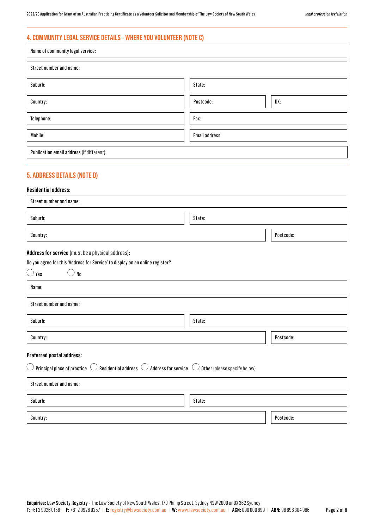# **4. COMMUNITY LEGAL SERVICE DETAILS - WHERE YOU VOLUNTEER (NOTE C)**

| Name of community legal service:          |                  |  |
|-------------------------------------------|------------------|--|
| Street number and name:                   |                  |  |
| Suburb:                                   | State:           |  |
| Country:                                  | DX:<br>Postcode: |  |
| Telephone:                                | Fax:             |  |
| Mobile:                                   | Email address:   |  |
| Publication email address (if different): |                  |  |

# **5. ADDRESS DETAILS (NOTE D)**

### **Residential address:**

| Street number and name: |           |  |
|-------------------------|-----------|--|
| Suburb:                 | State:    |  |
| Country:                | Postcode: |  |

#### **Address for service** (must be a physical address)**:**

#### Do you agree for this 'Address for Service' to display on an online register?

| Yes<br>No                                                                                                         |                              |           |
|-------------------------------------------------------------------------------------------------------------------|------------------------------|-----------|
| Name:                                                                                                             |                              |           |
| Street number and name:                                                                                           |                              |           |
| Suburb:                                                                                                           | State:                       |           |
| Country:                                                                                                          |                              | Postcode: |
| Preferred postal address:                                                                                         |                              |           |
| $\bigcirc$ Principal place of practice $\bigcirc$ Residential address $\bigcirc$ Address for service $\,\bigcirc$ | Other (please specify below) |           |
| Street number and name:                                                                                           |                              |           |
| Suburb:                                                                                                           | State:                       |           |
| Country:                                                                                                          |                              | Postcode: |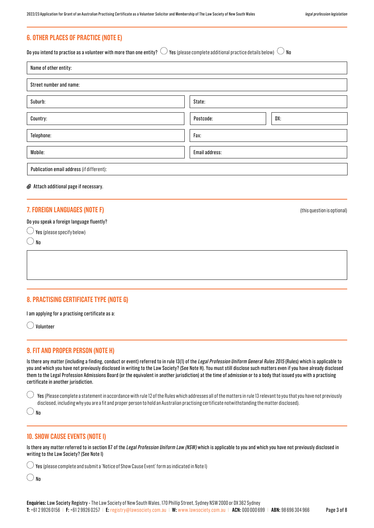# **6. OTHER PLACES OF PRACTICE (NOTE E)**

Do you intend to practise as a volunteer with more than one entity?  $\bigcirc$  Yes (please complete additional practice details below)  $\bigcirc$  No

| Name of other entity:                     |                  |  |
|-------------------------------------------|------------------|--|
| Street number and name:                   |                  |  |
| Suburb:                                   | State:           |  |
| Country:                                  | DX:<br>Postcode: |  |
| Telephone:                                | Fax:             |  |
| Mobile:                                   | Email address:   |  |
| Publication email address (if different): |                  |  |

#### Attach additional page if necessary.

### **7. FOREIGN LANGUAGES (NOTE F)** (this question is optional)

#### Do you speak a foreign language fluently?

 $\bigcirc$  Yes (please specify below)

 $\bigcirc$  No

# **8. PRACTISING CERTIFICATE TYPE (NOTE G)**

I am applying for a practising certificate as a:

Volunteer

### **9. FIT AND PROPER PERSON (NOTE H)**

Is there any matter (including a finding, conduct or event) referred to in rule 13(1) of the Legal Profession Uniform General Rules 2015 (Rules) which is applicable to you and which you have not previously disclosed in writing to the Law Society? (See Note H). You must still disclose such matters even if you have already disclosed them to the Legal Profession Admissions Board (or the equivalent in another jurisdiction) at the time of admission or to a body that issued you with a practising certificate in another jurisdiction.

Yes (Please complete a statement in accordance with rule 12 of the Rules which addresses all of the matters in rule 13 relevant to you that you have not previously disclosed, including why you are a fit and proper person to hold an Australian practising certificate notwithstanding the matter disclosed).

 $()_{\mathsf{Nn}}$ 

### **10. SHOW CAUSE EVENTS (NOTE I)**

Is there any matter referred to in section 87 of the Legal Profession Uniform Law (NSW) which is applicable to you and which you have not previously disclosed in writing to the Law Society? (See Note I)

 $\bigcirc$  Yes (please complete and submit a 'Notice of Show Cause Event' form as indicated in Note I)

 $\bigcirc$  No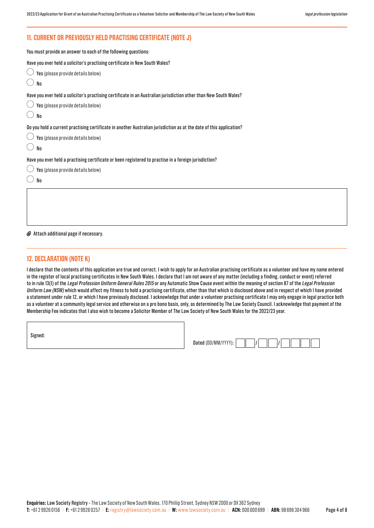# **11. CURRENT OR PREVIOUSLY HELD PRACTISING CERTIFICATE (NOTE J)**

| You must provide an answer to each of the following questions:                                                      |
|---------------------------------------------------------------------------------------------------------------------|
| Have you ever held a solicitor's practising certificate in New South Wales?                                         |
| Yes (please provide details below)                                                                                  |
| No                                                                                                                  |
| Have you ever held a solicitor's practising certificate in an Australian jurisdiction other than New South Wales?   |
| Yes (please provide details below)                                                                                  |
| No                                                                                                                  |
| Do you hold a current practising certificate in another Australian jurisdiction as at the date of this application? |
| Yes (please provide details below)                                                                                  |
| No                                                                                                                  |
| Have you ever held a practising certificate or been registered to practise in a foreign jurisdiction?               |
| Yes (please provide details below)                                                                                  |
| No                                                                                                                  |
|                                                                                                                     |
|                                                                                                                     |
|                                                                                                                     |

#### Attach additional page if necessary.

#### **12. DECLARATION (NOTE K)**

I declare that the contents of this application are true and correct. I wish to apply for an Australian practising certificate as a volunteer and have my name entered in the register of local practising certificates in New South Wales. I declare that I am not aware of any matter (including a finding, conduct or event) referred to in rule 13(1) of the Legal Profession Uniform General Rules 2015 or any Automatic Show Cause event within the meaning of section 87 of the Legal Profession Uniform Law (NSW) which would affect my fitness to hold a practising certificate, other than that which is disclosed above and in respect of which I have provided a statement under rule 12, or which I have previously disclosed. I acknowledge that under a volunteer practising certificate I may only engage in legal practice both as a volunteer at a community legal service and otherwise on a pro bono basis, only, as determined by The Law Society Council. I acknowledge that payment of the Membership Fee indicates that I also wish to become a Solicitor Member of The Law Society of New South Wales for the 2022/23 year.

Signed:

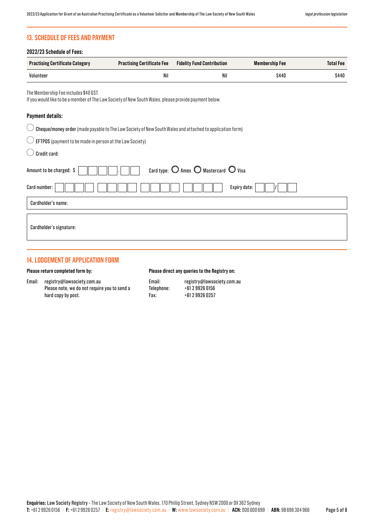# **13. SCHEDULE OF FEES AND PAYMENT**

| <b>Practising Certificate Category</b>                                                                                                         | <b>Practising Certificate Fee</b> | <b>Fidelity Fund Contribution</b>                                | <b>Membership Fee</b> | <b>Total Fee</b> |
|------------------------------------------------------------------------------------------------------------------------------------------------|-----------------------------------|------------------------------------------------------------------|-----------------------|------------------|
| Volunteer                                                                                                                                      | Nil                               | Nil                                                              | \$440                 | \$440            |
| The Membership Fee includes \$40 GST.<br>If you would like to be a member of The Law Society of New South Wales, please provide payment below. |                                   |                                                                  |                       |                  |
| <b>Payment details:</b>                                                                                                                        |                                   |                                                                  |                       |                  |
| Cheque/money order (made payable to The Law Society of New South Wales and attached to application form)                                       |                                   |                                                                  |                       |                  |
| EFTPOS (payment to be made in person at the Law Society)                                                                                       |                                   |                                                                  |                       |                  |
| Credit card:                                                                                                                                   |                                   |                                                                  |                       |                  |
| Amount to be charged: \$                                                                                                                       |                                   | Card type: $\bigcirc$ Amex $\bigcirc$ Mastercard $\bigcirc$ Visa |                       |                  |
| Card number:                                                                                                                                   |                                   |                                                                  | Expiry date:          |                  |
| Cardholder's name:                                                                                                                             |                                   |                                                                  |                       |                  |
| Cardholder's signature:                                                                                                                        |                                   |                                                                  |                       |                  |

# **14. LODGEMENT OF APPLICATION FORM**

#### **Please return completed form by:**

Email: registry@lawsociety.com.au Please note, we do not require you to send a hard copy by post.

#### **Please direct any queries to the Registry on:**

| Email:     | registry@lawsociety.com.au |
|------------|----------------------------|
| Telephone: | +61 2 9926 0156            |
| Fax:       | +61 2 9926 0257            |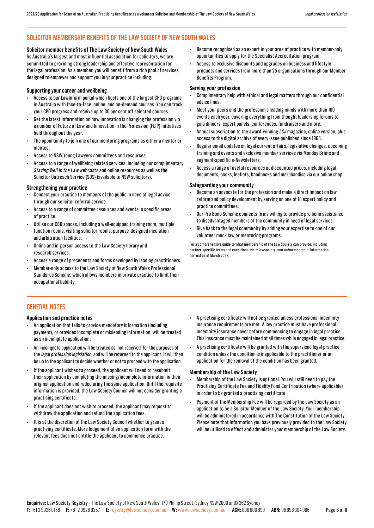# **SOLICITOR MEMBERSHIP BENEFITS OF THE LAW SOCIETY OF NEW SOUTH WALES**

#### **Solicitor member benefits of The Law Society of New South Wales**

As Australia's largest and most influential association for solicitors, we are committed to providing strong leadership and effective representation for the legal profession. As a member, you will benefit from a rich pool of services designed to empower and support you in your practice including:

#### **Supporting your career and wellbeing**

- Access to our LawInform portal which hosts one of the largest CPD programs in Australia with face-to-face, online, and on-demand courses. You can track your CPD progress and receive up to 30 per cent off selected courses.
- Get the latest information on how innovation is changing the profession via a number of Future of Law and Innovation in the Profession (FLIP) initiatives held throughout the year.
- The opportunity to join one of our mentoring programs as either a mentor or mentee.
- Access to NSW Young Lawyers committees and resources.
- Access to a range of wellbeing related services, including our complimentary Staying Well in the Law webcasts and online resources as well as the Solicitor Outreach Service (SOS) (available to NSW solicitors).

#### **Strengthening your practice**

- Connect your practice to members of the public in need of legal advice through our solicitor referral service.
- Access to a range of committee resources and events in specific areas of practice.
- Utilise our CBD spaces, including a well-equipped training room, multiple function rooms, visiting solicitor rooms, purpose-designed mediation and arbitration facilities.
- Online and in-person access to the Law Society library and research services.
- Access a range of precedents and forms developed by leading practitioners.
- Member-only access to the Law Society of New South Wales Professional Standards Scheme, which allows members in private practice to limit their occupational liability.
- Become recognised as an expert in your area of practice with member-only opportunities to apply for the Specialist Accreditation program.
- Access to exclusive discounts and upgrades on business and lifestyle products and services from more than 25 organisations through our Member Benefits Program.

#### **Serving your profession**

- Complimentary help with ethical and legal matters through our confidential advice lines.
- Meet your peers and the profession's leading minds with more than 100 events each year, covering everything from thought leadership forums to gala dinners, expert panels, conferences, fundraisers and more.
- Annual subscription to the award-winning LSJ magazine, online version, plus access to the digital archive of every issue published since 1963.
- Regular email updates on legal current affairs, legislative changes, upcoming training and events and exclusive member services via Monday Briefs and segment-specific e-Newsletters.
- Access a range of useful resources at discounted prices, including legal documents, books, leaflets, handbooks and merchandise via our online shop.

#### **Safeguarding your community**

- Become an advocate for the profession and make a direct impact on law reform and policy development by serving on one of 18 expert policy and practice committees.
- Our Pro Bono Scheme connects firms willing to provide pro bono assistance to disadvantaged members of the community in need of legal services.
- Give back to the legal community by adding your expertise to one of our volunteer mock law or mentoring programs.

For a comprehensive guide to what membership of the Law Society can provide, including partner-specific terms and conditions, visit: lawsociety.com.au/membership. Information correct as at March 2022.

# **GENERAL NOTES**

#### **Application and practice notes**

- An application that fails to provide mandatory information (including payment), or provides incomplete or misleading information, will be treated as an incomplete application.
- An incomplete application will be treated as 'not received' for the purposes of the legal profession legislation, and will be returned to the applicant. It will then be up to the applicant to decide whether or not to proceed with the application.
- If the applicant wishes to proceed, the applicant will need to resubmit their application by completing the missing/incomplete information in their original application and redeclaring the same application. Until the requisite information is provided, the Law Society Council will not consider granting a practising certificate.
- If the applicant does not wish to proceed, the applicant may request to withdraw the application and refund the application fees.
- It is at the discretion of the Law Society Council whether to grant a practising certificate. Mere lodgement of an application form with the relevant fees does not entitle the applicant to commence practice.
- A practising certificate will not be granted unless professional indemnity insurance requirements are met. A law practice must have professional indemnity insurance cover before commencing to engage in legal practice. This insurance must be maintained at all times while engaged in legal practice.
- A practising certificate will be granted with the supervised legal practice condition unless the condition is inapplicable to the practitioner or an application for the removal of the condition has been granted.

#### **Membership of the Law Society**

- Membership of the Law Society is optional. You will still need to pay the Practising Certificate Fee and Fidelity Fund Contribution (where applicable) in order to be granted a practising certificate.
- Payment of the Membership Fee will be regarded by the Law Society as an application to be a Solicitor Member of the Law Society. Your membership will be administered in accordance with The Constitution of the Law Society. Please note that information you have previously provided to the Law Society will be utilised to effect and administer your membership of the Law Society.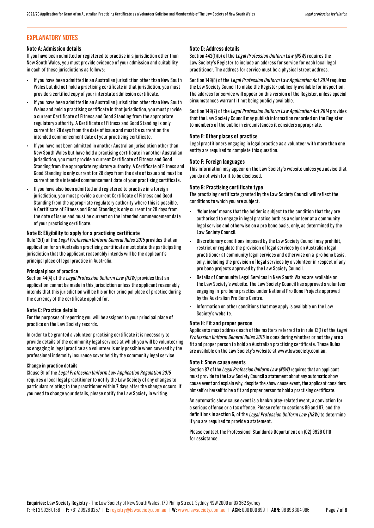# **EXPLANATORY NOTES**

#### **Note A: Admission details**

If you have been admitted or registered to practise in a jurisdiction other than New South Wales, you must provide evidence of your admission and suitability in each of these jurisdictions as follows:

- If you have been admitted in an Australian jurisdiction other than New South Wales but did not hold a practising certificate in that jurisdiction, you must provide a certified copy of your interstate admission certificate.
- If you have been admitted in an Australian jurisdiction other than New South Wales and held a practising certificate in that jurisdiction, you must provide a current Certificate of Fitness and Good Standing from the appropriate regulatory authority. A Certificate of Fitness and Good Standing is only current for 28 days from the date of issue and must be current on the intended commencement date of your practising certificate.
- If you have not been admitted in another Australian jurisdiction other than New South Wales but have held a practising certificate in another Australian jurisdiction, you must provide a current Certificate of Fitness and Good Standing from the appropriate regulatory authority. A Certificate of Fitness and Good Standing is only current for 28 days from the date of issue and must be current on the intended commencement date of your practising certificate.
- If you have also been admitted and registered to practise in a foreign jurisdiction, you must provide a current Certificate of Fitness and Good Standing from the appropriate regulatory authority where this is possible. A Certificate of Fitness and Good Standing is only current for 28 days from the date of issue and must be current on the intended commencement date of your practising certificate.

#### **Note B: Eligibility to apply for a practising certificate**

Rule 12(1) of the Legal Profession Uniform General Rules 2015 provides that an application for an Australian practising certificate must state the participating jurisdiction that the applicant reasonably intends will be the applicant's principal place of legal practice in Australia.

#### **Principal place of practice**

Section 44(4) of the Legal Profession Uniform Law (NSW) provides that an application cannot be made in this jurisdiction unless the applicant reasonably intends that this jurisdiction will be his or her principal place of practice during the currency of the certificate applied for.

#### **Note C: Practice details**

For the purposes of reporting you will be assigned to your principal place of practice on the Law Society records.

In order to be granted a volunteer practising certificate it is necessary to provide details of the community legal services at which you will be volunteering as engaging in legal practice as a volunteer is only possible when covered by the professional indemnity insurance cover held by the community legal service.

#### **Change in practice details**

Clause 61 of the Legal Profession Uniform Law Application Regulation 2015 requires a local legal practitioner to notify the Law Society of any changes to particulars relating to the practitioner within 7 days after the change occurs. If you need to change your details, please notify the Law Society in writing.

#### **Note D: Address details**

Section 442(1)(b) of the Legal Profession Uniform Law (NSW) requires the Law Society's Register to include an address for service for each local legal practitioner. The address for service must be a physical street address.

Section 149(8) of the Legal Profession Uniform Law Application Act 2014 requires the Law Society Council to make the Register publically available for inspection. The address for service will appear on this version of the Register, unless special circumstances warrant it not being publicly available.

Section 149(7) of the Legal Profession Uniform Law Application Act 2014 provides that the Law Society Council may publish information recorded on the Register to members of the public in circumstances it considers appropriate.

#### **Note E: Other places of practice**

Legal practitioners engaging in legal practice as a volunteer with more than one entity are required to complete this question.

#### **Note F: Foreign languages**

This information may appear on the Law Society's website unless you advise that you do not wish for it to be disclosed.

#### **Note G: Practising certificate type**

The practising certificate granted by the Law Society Council will reflect the conditions to which you are subject.

- **• 'Volunteer'** means that the holder is subject to the condition that they are authorised to engage in legal practice both as a volunteer at a community legal service and otherwise on a pro bono basis, only, as determined by the Law Society Council.
- Discretionary conditions imposed by the Law Society Council may prohibit, restrict or regulate the provision of legal services by an Australian legal practitioner at community legal services and otherwise on a pro bono basis, only, including the provision of legal services by a volunteer in respect of any pro bono projects approved by the Law Society Council.
- Details of Community Legal Services in New South Wales are available on the Law Society's website. The Law Society Council has approved a volunteer engaging in pro bono practice under National Pro Bono Projects approved by the Australian Pro Bono Centre.
- Information on other conditions that may apply is available on the Law Society's website.

#### **Note H: Fit and proper person**

Applicants must address each of the matters referred to in rule 13(1) of the Legal Profession Uniform General Rules 2015 in considering whether or not they are a fit and proper person to hold an Australian practising certificate. These Rules are available on the Law Society's website at www.lawsociety.com.au.

#### **Note I: Show cause events**

Section 87 of the Legal Profession Uniform Law (NSW) requires that an applicant must provide to the Law Society Council a statement about any automatic show cause event and explain why, despite the show cause event, the applicant considers himself or herself to be a fit and proper person to hold a practising certificate.

An automatic show cause event is a bankruptcy-related event, a conviction for a serious offence or a tax offence. Please refer to sections 86 and 87, and the definitions in section 6, of the Legal Profession Uniform Law (NSW) to determine if you are required to provide a statement.

Please contact the Professional Standards Department on (02) 9926 0110 for assistance.